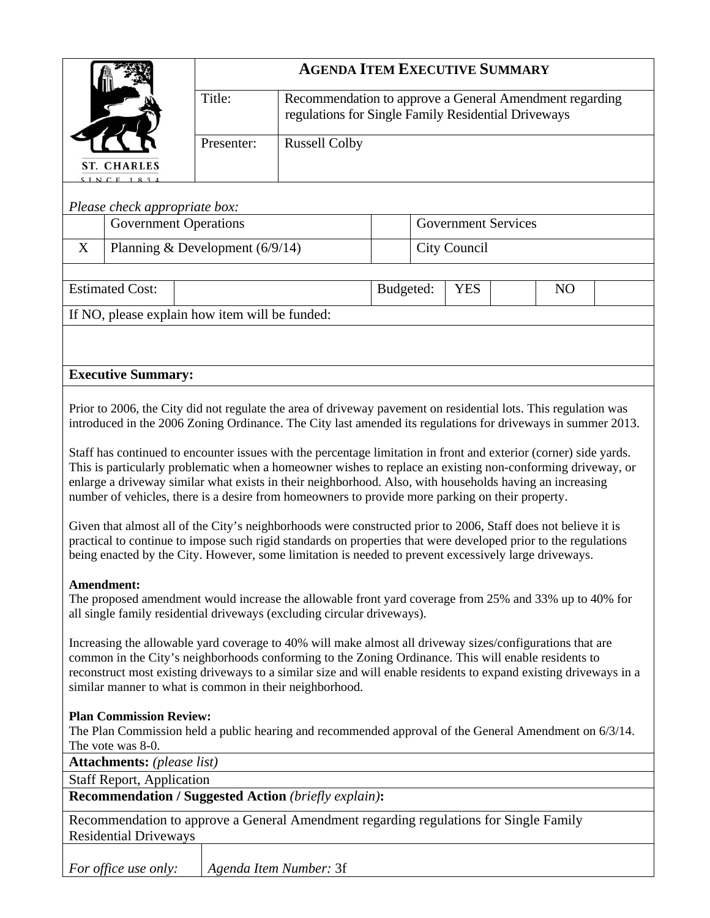|                                                                                                                                                                                                                                                                                                                                                                                                                                                  |                                                | <b>AGENDA ITEM EXECUTIVE SUMMARY</b> |                                                                                                                                                                                                                                 |           |                            |              |  |                |  |
|--------------------------------------------------------------------------------------------------------------------------------------------------------------------------------------------------------------------------------------------------------------------------------------------------------------------------------------------------------------------------------------------------------------------------------------------------|------------------------------------------------|--------------------------------------|---------------------------------------------------------------------------------------------------------------------------------------------------------------------------------------------------------------------------------|-----------|----------------------------|--------------|--|----------------|--|
|                                                                                                                                                                                                                                                                                                                                                                                                                                                  |                                                | Title:                               | Recommendation to approve a General Amendment regarding<br>regulations for Single Family Residential Driveways                                                                                                                  |           |                            |              |  |                |  |
|                                                                                                                                                                                                                                                                                                                                                                                                                                                  |                                                | Presenter:                           | <b>Russell Colby</b>                                                                                                                                                                                                            |           |                            |              |  |                |  |
|                                                                                                                                                                                                                                                                                                                                                                                                                                                  | <b>ST. CHARLES</b><br>$SINCF$ 18               |                                      |                                                                                                                                                                                                                                 |           |                            |              |  |                |  |
|                                                                                                                                                                                                                                                                                                                                                                                                                                                  | Please check appropriate box:                  |                                      |                                                                                                                                                                                                                                 |           |                            |              |  |                |  |
|                                                                                                                                                                                                                                                                                                                                                                                                                                                  | <b>Government Operations</b>                   |                                      |                                                                                                                                                                                                                                 |           | <b>Government Services</b> |              |  |                |  |
| X                                                                                                                                                                                                                                                                                                                                                                                                                                                | Planning & Development $(6/9/14)$              |                                      |                                                                                                                                                                                                                                 |           |                            | City Council |  |                |  |
|                                                                                                                                                                                                                                                                                                                                                                                                                                                  | <b>Estimated Cost:</b>                         |                                      |                                                                                                                                                                                                                                 | Budgeted: |                            | <b>YES</b>   |  | N <sub>O</sub> |  |
|                                                                                                                                                                                                                                                                                                                                                                                                                                                  | If NO, please explain how item will be funded: |                                      |                                                                                                                                                                                                                                 |           |                            |              |  |                |  |
|                                                                                                                                                                                                                                                                                                                                                                                                                                                  |                                                |                                      |                                                                                                                                                                                                                                 |           |                            |              |  |                |  |
|                                                                                                                                                                                                                                                                                                                                                                                                                                                  | <b>Executive Summary:</b>                      |                                      |                                                                                                                                                                                                                                 |           |                            |              |  |                |  |
|                                                                                                                                                                                                                                                                                                                                                                                                                                                  |                                                |                                      |                                                                                                                                                                                                                                 |           |                            |              |  |                |  |
|                                                                                                                                                                                                                                                                                                                                                                                                                                                  |                                                |                                      | Prior to 2006, the City did not regulate the area of driveway pavement on residential lots. This regulation was<br>introduced in the 2006 Zoning Ordinance. The City last amended its regulations for driveways in summer 2013. |           |                            |              |  |                |  |
| Staff has continued to encounter issues with the percentage limitation in front and exterior (corner) side yards.<br>This is particularly problematic when a homeowner wishes to replace an existing non-conforming driveway, or<br>enlarge a driveway similar what exists in their neighborhood. Also, with households having an increasing<br>number of vehicles, there is a desire from homeowners to provide more parking on their property. |                                                |                                      |                                                                                                                                                                                                                                 |           |                            |              |  |                |  |
| Given that almost all of the City's neighborhoods were constructed prior to 2006, Staff does not believe it is<br>practical to continue to impose such rigid standards on properties that were developed prior to the regulations<br>being enacted by the City. However, some limitation is needed to prevent excessively large driveways.                                                                                                       |                                                |                                      |                                                                                                                                                                                                                                 |           |                            |              |  |                |  |
| Amendment:<br>The proposed amendment would increase the allowable front yard coverage from 25% and 33% up to 40% for<br>all single family residential driveways (excluding circular driveways).                                                                                                                                                                                                                                                  |                                                |                                      |                                                                                                                                                                                                                                 |           |                            |              |  |                |  |
| Increasing the allowable yard coverage to 40% will make almost all driveway sizes/configurations that are<br>common in the City's neighborhoods conforming to the Zoning Ordinance. This will enable residents to<br>reconstruct most existing driveways to a similar size and will enable residents to expand existing driveways in a<br>similar manner to what is common in their neighborhood.                                                |                                                |                                      |                                                                                                                                                                                                                                 |           |                            |              |  |                |  |
| <b>Plan Commission Review:</b><br>The Plan Commission held a public hearing and recommended approval of the General Amendment on 6/3/14.<br>The vote was 8-0.                                                                                                                                                                                                                                                                                    |                                                |                                      |                                                                                                                                                                                                                                 |           |                            |              |  |                |  |
| <b>Attachments:</b> (please list)                                                                                                                                                                                                                                                                                                                                                                                                                |                                                |                                      |                                                                                                                                                                                                                                 |           |                            |              |  |                |  |
| <b>Staff Report, Application</b><br><b>Recommendation / Suggested Action (briefly explain):</b>                                                                                                                                                                                                                                                                                                                                                  |                                                |                                      |                                                                                                                                                                                                                                 |           |                            |              |  |                |  |
| Recommendation to approve a General Amendment regarding regulations for Single Family<br><b>Residential Driveways</b>                                                                                                                                                                                                                                                                                                                            |                                                |                                      |                                                                                                                                                                                                                                 |           |                            |              |  |                |  |
|                                                                                                                                                                                                                                                                                                                                                                                                                                                  | For office use only:<br>Agenda Item Number: 3f |                                      |                                                                                                                                                                                                                                 |           |                            |              |  |                |  |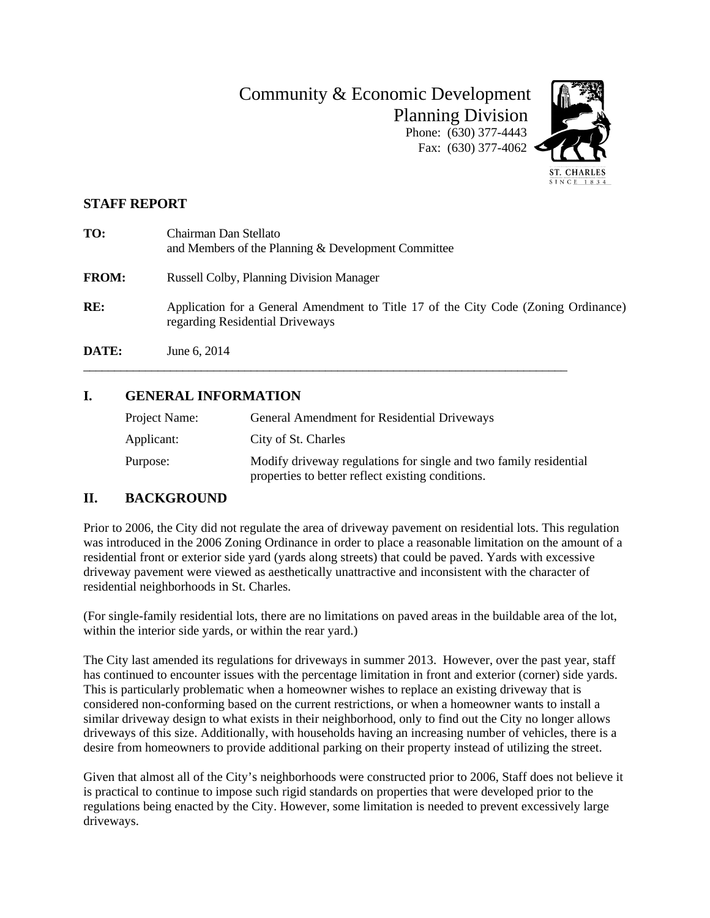Community & Economic Development Planning Division Phone: (630) 377-4443 Fax: (630) 377-4062



#### **STAFF REPORT**

| TO:          | Chairman Dan Stellato<br>and Members of the Planning & Development Committee                                           |
|--------------|------------------------------------------------------------------------------------------------------------------------|
| <b>FROM:</b> | <b>Russell Colby, Planning Division Manager</b>                                                                        |
| RE:          | Application for a General Amendment to Title 17 of the City Code (Zoning Ordinance)<br>regarding Residential Driveways |
| DATE:        | June 6, 2014                                                                                                           |

### **I. GENERAL INFORMATION**

| Project Name: | General Amendment for Residential Driveways                                                                            |
|---------------|------------------------------------------------------------------------------------------------------------------------|
| Applicant:    | City of St. Charles                                                                                                    |
| Purpose:      | Modify driveway regulations for single and two family residential<br>properties to better reflect existing conditions. |

\_\_\_\_\_\_\_\_\_\_\_\_\_\_\_\_\_\_\_\_\_\_\_\_\_\_\_\_\_\_\_\_\_\_\_\_\_\_\_\_\_\_\_\_\_\_\_\_\_\_\_\_\_\_\_\_\_\_\_\_\_\_\_\_\_\_\_\_\_\_\_\_\_\_\_\_\_\_

#### **II. BACKGROUND**

Prior to 2006, the City did not regulate the area of driveway pavement on residential lots. This regulation was introduced in the 2006 Zoning Ordinance in order to place a reasonable limitation on the amount of a residential front or exterior side yard (yards along streets) that could be paved. Yards with excessive driveway pavement were viewed as aesthetically unattractive and inconsistent with the character of residential neighborhoods in St. Charles.

(For single-family residential lots, there are no limitations on paved areas in the buildable area of the lot, within the interior side yards, or within the rear yard.)

The City last amended its regulations for driveways in summer 2013. However, over the past year, staff has continued to encounter issues with the percentage limitation in front and exterior (corner) side yards. This is particularly problematic when a homeowner wishes to replace an existing driveway that is considered non-conforming based on the current restrictions, or when a homeowner wants to install a similar driveway design to what exists in their neighborhood, only to find out the City no longer allows driveways of this size. Additionally, with households having an increasing number of vehicles, there is a desire from homeowners to provide additional parking on their property instead of utilizing the street.

Given that almost all of the City's neighborhoods were constructed prior to 2006, Staff does not believe it is practical to continue to impose such rigid standards on properties that were developed prior to the regulations being enacted by the City. However, some limitation is needed to prevent excessively large driveways.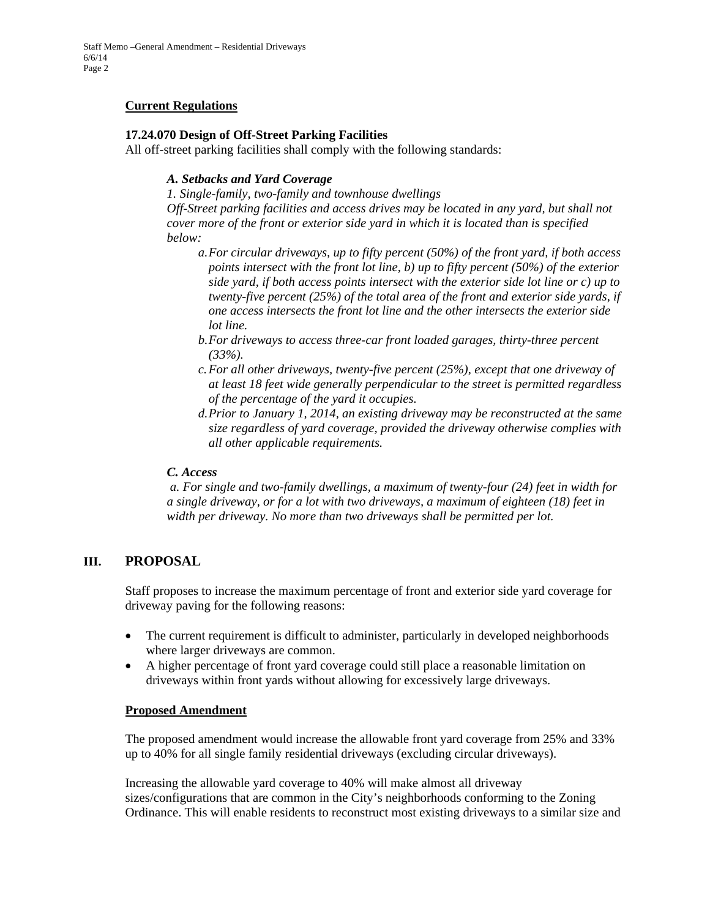#### **Current Regulations**

#### **17.24.070 Design of Off-Street Parking Facilities**

All off-street parking facilities shall comply with the following standards:

#### *A. Setbacks and Yard Coverage*

*1. Single-family, two-family and townhouse dwellings Off-Street parking facilities and access drives may be located in any yard, but shall not cover more of the front or exterior side yard in which it is located than is specified below:* 

- *a.For circular driveways, up to fifty percent (50%) of the front yard, if both access points intersect with the front lot line, b) up to fifty percent (50%) of the exterior side yard, if both access points intersect with the exterior side lot line or c) up to twenty-five percent (25%) of the total area of the front and exterior side yards, if one access intersects the front lot line and the other intersects the exterior side lot line.*
- *b.For driveways to access three-car front loaded garages, thirty-three percent (33%).*
- *c.For all other driveways, twenty-five percent (25%), except that one driveway of at least 18 feet wide generally perpendicular to the street is permitted regardless of the percentage of the yard it occupies.*
- *d.Prior to January 1, 2014, an existing driveway may be reconstructed at the same size regardless of yard coverage, provided the driveway otherwise complies with all other applicable requirements.*

#### *C. Access*

 *a. For single and two-family dwellings, a maximum of twenty-four (24) feet in width for a single driveway, or for a lot with two driveways, a maximum of eighteen (18) feet in width per driveway. No more than two driveways shall be permitted per lot.*

#### **III. PROPOSAL**

Staff proposes to increase the maximum percentage of front and exterior side yard coverage for driveway paving for the following reasons:

- The current requirement is difficult to administer, particularly in developed neighborhoods where larger driveways are common.
- A higher percentage of front yard coverage could still place a reasonable limitation on driveways within front yards without allowing for excessively large driveways.

#### **Proposed Amendment**

The proposed amendment would increase the allowable front yard coverage from 25% and 33% up to 40% for all single family residential driveways (excluding circular driveways).

Increasing the allowable yard coverage to 40% will make almost all driveway sizes/configurations that are common in the City's neighborhoods conforming to the Zoning Ordinance. This will enable residents to reconstruct most existing driveways to a similar size and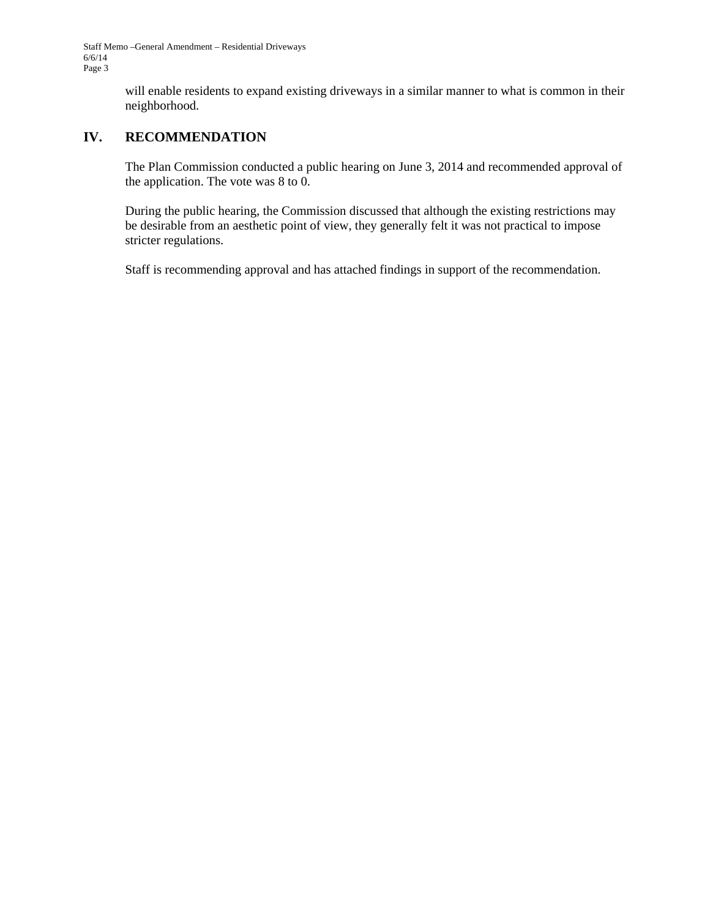Staff Memo –General Amendment – Residential Driveways 6/6/14 Page 3

> will enable residents to expand existing driveways in a similar manner to what is common in their neighborhood.

#### **IV. RECOMMENDATION**

The Plan Commission conducted a public hearing on June 3, 2014 and recommended approval of the application. The vote was 8 to 0.

During the public hearing, the Commission discussed that although the existing restrictions may be desirable from an aesthetic point of view, they generally felt it was not practical to impose stricter regulations.

Staff is recommending approval and has attached findings in support of the recommendation.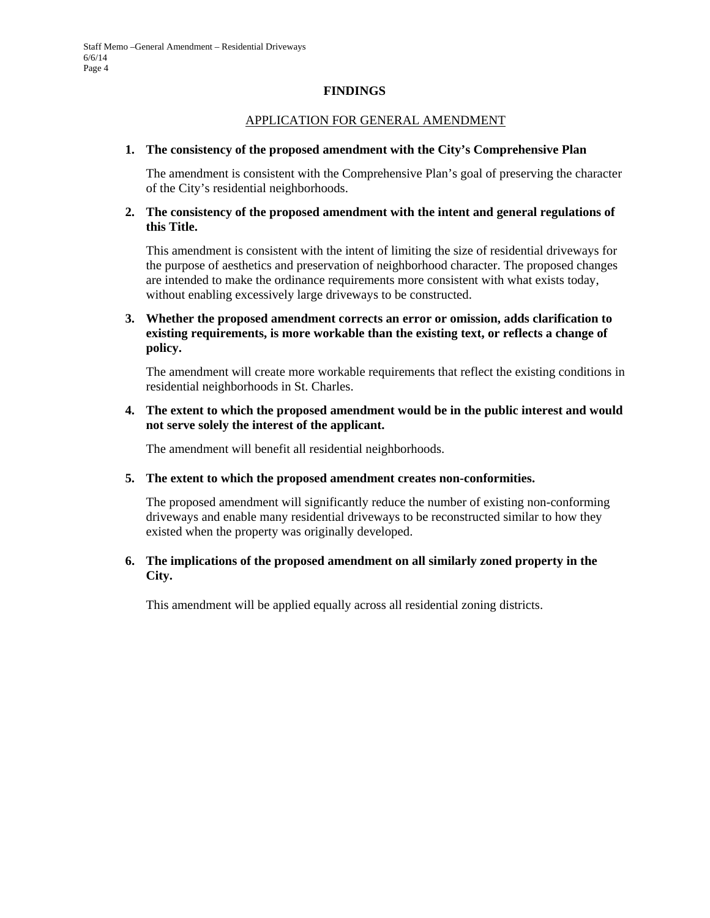#### **FINDINGS**

#### APPLICATION FOR GENERAL AMENDMENT

#### **1. The consistency of the proposed amendment with the City's Comprehensive Plan**

The amendment is consistent with the Comprehensive Plan's goal of preserving the character of the City's residential neighborhoods.

#### **2. The consistency of the proposed amendment with the intent and general regulations of this Title.**

 This amendment is consistent with the intent of limiting the size of residential driveways for the purpose of aesthetics and preservation of neighborhood character. The proposed changes are intended to make the ordinance requirements more consistent with what exists today, without enabling excessively large driveways to be constructed.

#### **3. Whether the proposed amendment corrects an error or omission, adds clarification to existing requirements, is more workable than the existing text, or reflects a change of policy.**

 The amendment will create more workable requirements that reflect the existing conditions in residential neighborhoods in St. Charles.

#### **4. The extent to which the proposed amendment would be in the public interest and would not serve solely the interest of the applicant.**

The amendment will benefit all residential neighborhoods.

#### **5. The extent to which the proposed amendment creates non-conformities.**

 The proposed amendment will significantly reduce the number of existing non-conforming driveways and enable many residential driveways to be reconstructed similar to how they existed when the property was originally developed.

#### **6. The implications of the proposed amendment on all similarly zoned property in the City.**

This amendment will be applied equally across all residential zoning districts.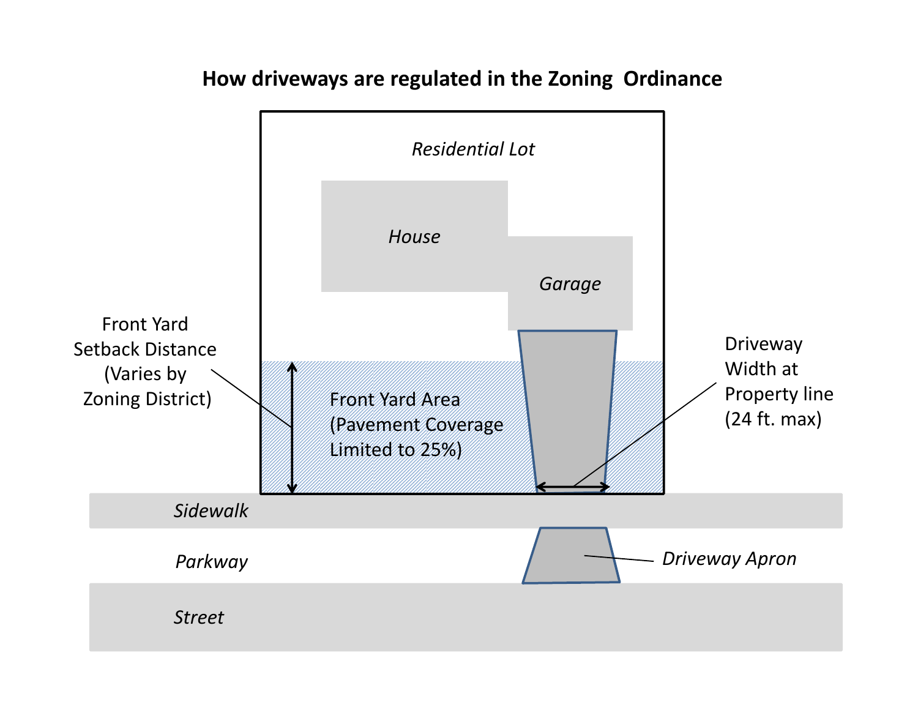## **How driveways are regulated in the Zoning Ordinance**

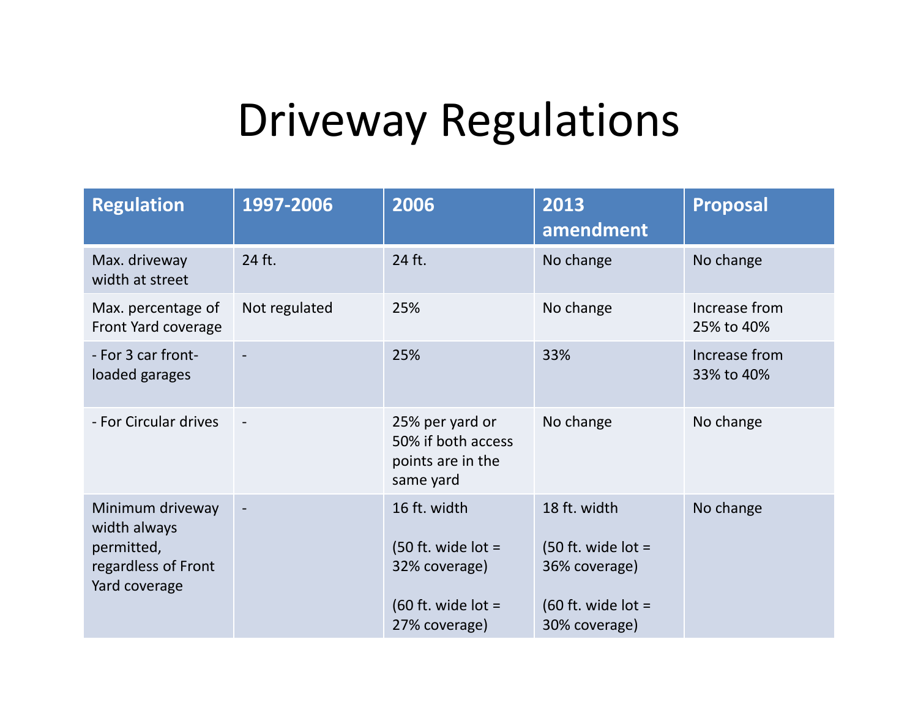# Driveway Regulations

| <b>Regulation</b>                                                                      | 1997-2006     | 2006                                                                                           | 2013<br>amendment                                                                              | <b>Proposal</b>             |
|----------------------------------------------------------------------------------------|---------------|------------------------------------------------------------------------------------------------|------------------------------------------------------------------------------------------------|-----------------------------|
| Max. driveway<br>width at street                                                       | 24 ft.        | 24 ft.                                                                                         | No change                                                                                      | No change                   |
| Max. percentage of<br>Front Yard coverage                                              | Not regulated | 25%                                                                                            | No change                                                                                      | Increase from<br>25% to 40% |
| - For 3 car front-<br>loaded garages                                                   |               | 25%                                                                                            | 33%                                                                                            | Increase from<br>33% to 40% |
| - For Circular drives                                                                  |               | 25% per yard or<br>50% if both access<br>points are in the<br>same yard                        | No change                                                                                      | No change                   |
| Minimum driveway<br>width always<br>permitted,<br>regardless of Front<br>Yard coverage |               | 16 ft. width<br>$(50$ ft. wide lot =<br>32% coverage)<br>(60 ft. wide lot $=$<br>27% coverage) | 18 ft. width<br>(50 ft. wide lot $=$<br>36% coverage)<br>(60 ft. wide lot $=$<br>30% coverage) | No change                   |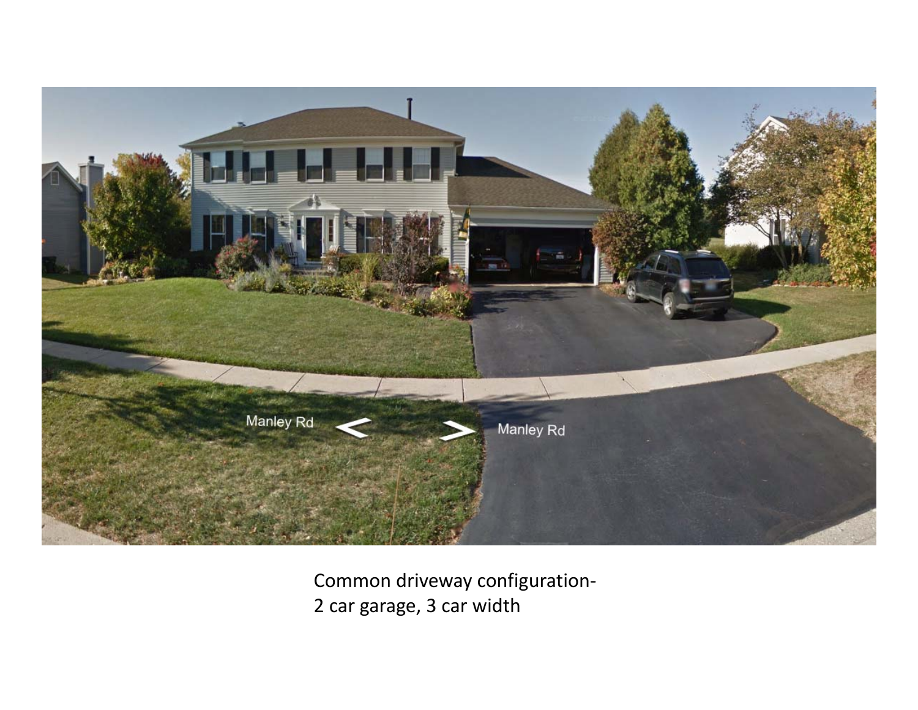

Common driveway configuration‐ 2 car garage, 3 car width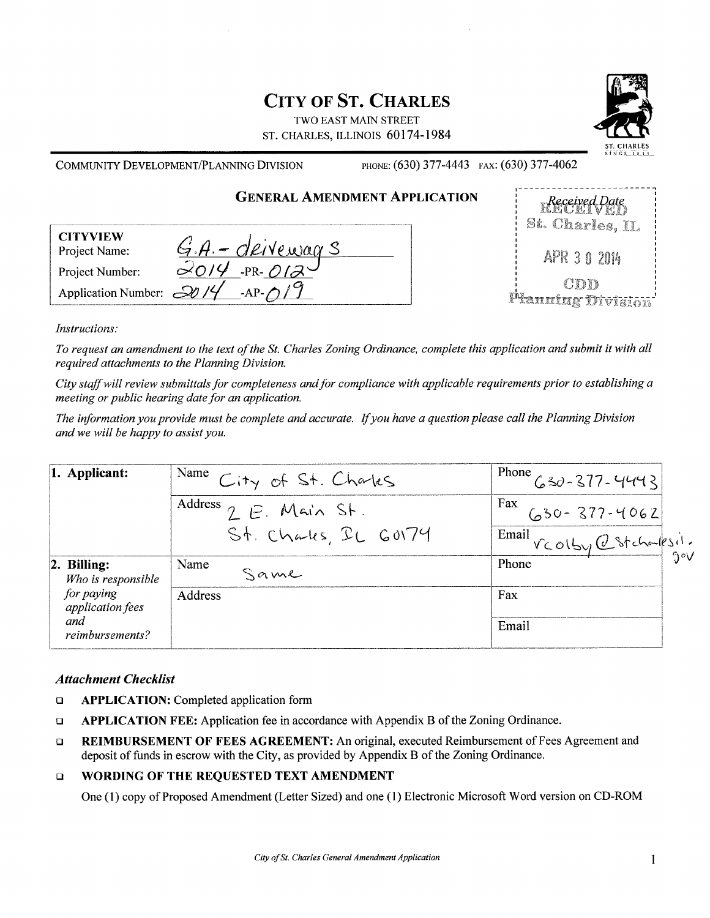## **CITY OF ST. CHARLES**

TWO EAST MAIN STREET ST. CHARLES, ILLINOIS 60174-1984



| PHONE: (630) 377-4443 FAX: (630) 377-4062<br>COMMUNITY DEVELOPMENT/PLANNING DIVISION |                                     |
|--------------------------------------------------------------------------------------|-------------------------------------|
| <b>GENERAL AMENDMENT APPLICATION</b>                                                 | $R$ eceived Date<br>St. Charles, IL |
| <b>CITYVIEW</b><br><u>G.A. - deiveways</u><br>Project Name:                          | APR 3 0 2014                        |
| $-PR-\frac{\partial Q}{\partial P}$<br>Project Number:                               |                                     |
| Application Number: $\frac{20}{4}$<br>$AP$ $/9$                                      | CDD<br><b>Tianning Division</b>     |

#### Instructions:

To request an amendment to the text of the St. Charles Zoning Ordinance, complete this application and submit it with all required attachments to the Planning Division.

City staff will review submittals for completeness and for compliance with applicable requirements prior to establishing a meeting or public hearing date for an application.

The information you provide must be complete and accurate. If you have a question please call the Planning Division and we will be happy to assist you.

| 1. Applicant:                     | Name City of St. Charles        | $1^{Phone}$ $630-377-4443$   |
|-----------------------------------|---------------------------------|------------------------------|
|                                   | Address $\gamma$ $\in$ Main St. | Fax<br>$(0.30 - 377 - 4062)$ |
|                                   | St. Chales, IL GOV74            | Email VCOLby @Stcharlesii.   |
| 2. Billing:<br>Who is responsible | Name<br>Same                    | Phone                        |
| for paying<br>application fees    | <b>Address</b>                  | Fax                          |
| and<br>reimbursements?            |                                 | Email                        |

#### **Attachment Checklist**

- $\Box$ **APPLICATION:** Completed application form
- APPLICATION FEE: Application fee in accordance with Appendix B of the Zoning Ordinance.  $\Box$
- REIMBURSEMENT OF FEES AGREEMENT: An original, executed Reimbursement of Fees Agreement and  $\Box$ deposit of funds in escrow with the City, as provided by Appendix B of the Zoning Ordinance.

#### WORDING OF THE REQUESTED TEXT AMENDMENT  $\Box$

One (1) copy of Proposed Amendment (Letter Sized) and one (1) Electronic Microsoft Word version on CD-ROM